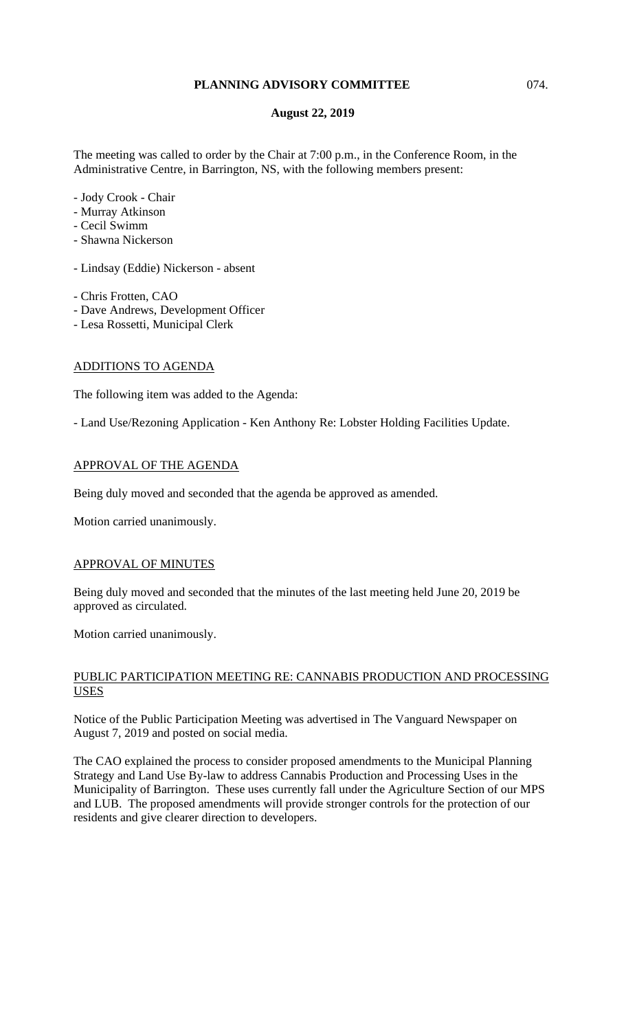## **PLANNING ADVISORY COMMITTEE** 074.

## **August 22, 2019**

The meeting was called to order by the Chair at 7:00 p.m., in the Conference Room, in the Administrative Centre, in Barrington, NS, with the following members present:

- Jody Crook Chair
- Murray Atkinson
- Cecil Swimm
- Shawna Nickerson
- Lindsay (Eddie) Nickerson absent
- Chris Frotten, CAO
- Dave Andrews, Development Officer
- Lesa Rossetti, Municipal Clerk

## ADDITIONS TO AGENDA

The following item was added to the Agenda:

- Land Use/Rezoning Application - Ken Anthony Re: Lobster Holding Facilities Update.

## APPROVAL OF THE AGENDA

Being duly moved and seconded that the agenda be approved as amended.

Motion carried unanimously.

## APPROVAL OF MINUTES

Being duly moved and seconded that the minutes of the last meeting held June 20, 2019 be approved as circulated.

Motion carried unanimously.

## PUBLIC PARTICIPATION MEETING RE: CANNABIS PRODUCTION AND PROCESSING USES

Notice of the Public Participation Meeting was advertised in The Vanguard Newspaper on August 7, 2019 and posted on social media.

The CAO explained the process to consider proposed amendments to the Municipal Planning Strategy and Land Use By-law to address Cannabis Production and Processing Uses in the Municipality of Barrington. These uses currently fall under the Agriculture Section of our MPS and LUB. The proposed amendments will provide stronger controls for the protection of our residents and give clearer direction to developers.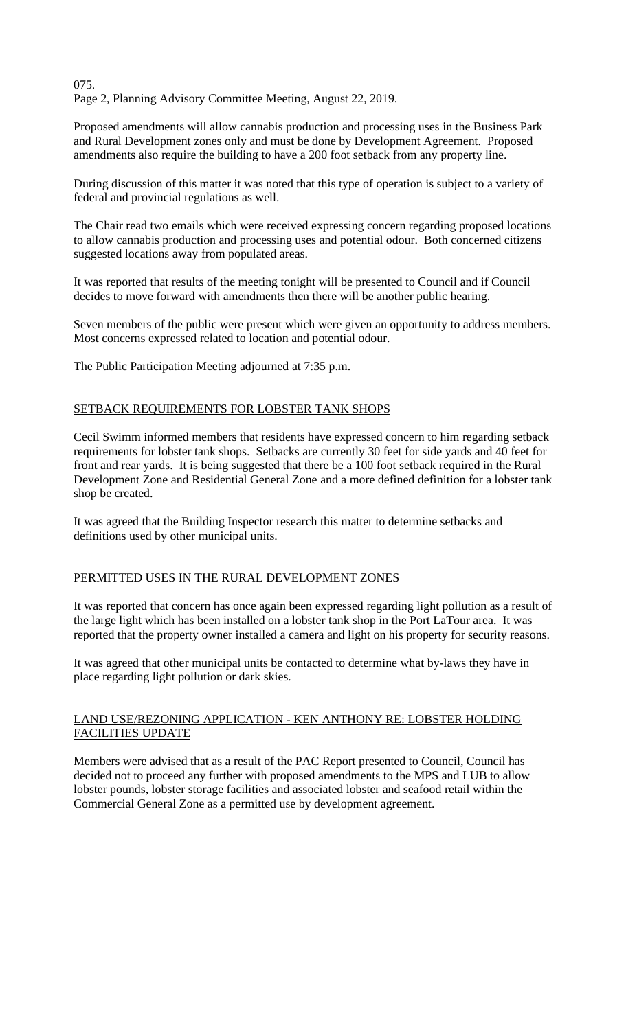075. Page 2, Planning Advisory Committee Meeting, August 22, 2019.

Proposed amendments will allow cannabis production and processing uses in the Business Park and Rural Development zones only and must be done by Development Agreement. Proposed amendments also require the building to have a 200 foot setback from any property line.

During discussion of this matter it was noted that this type of operation is subject to a variety of federal and provincial regulations as well.

The Chair read two emails which were received expressing concern regarding proposed locations to allow cannabis production and processing uses and potential odour. Both concerned citizens suggested locations away from populated areas.

It was reported that results of the meeting tonight will be presented to Council and if Council decides to move forward with amendments then there will be another public hearing.

Seven members of the public were present which were given an opportunity to address members. Most concerns expressed related to location and potential odour.

The Public Participation Meeting adjourned at 7:35 p.m.

#### SETBACK REQUIREMENTS FOR LOBSTER TANK SHOPS

Cecil Swimm informed members that residents have expressed concern to him regarding setback requirements for lobster tank shops. Setbacks are currently 30 feet for side yards and 40 feet for front and rear yards. It is being suggested that there be a 100 foot setback required in the Rural Development Zone and Residential General Zone and a more defined definition for a lobster tank shop be created.

It was agreed that the Building Inspector research this matter to determine setbacks and definitions used by other municipal units.

### PERMITTED USES IN THE RURAL DEVELOPMENT ZONES

It was reported that concern has once again been expressed regarding light pollution as a result of the large light which has been installed on a lobster tank shop in the Port LaTour area. It was reported that the property owner installed a camera and light on his property for security reasons.

It was agreed that other municipal units be contacted to determine what by-laws they have in place regarding light pollution or dark skies.

## LAND USE/REZONING APPLICATION - KEN ANTHONY RE: LOBSTER HOLDING FACILITIES UPDATE

Members were advised that as a result of the PAC Report presented to Council, Council has decided not to proceed any further with proposed amendments to the MPS and LUB to allow lobster pounds, lobster storage facilities and associated lobster and seafood retail within the Commercial General Zone as a permitted use by development agreement.